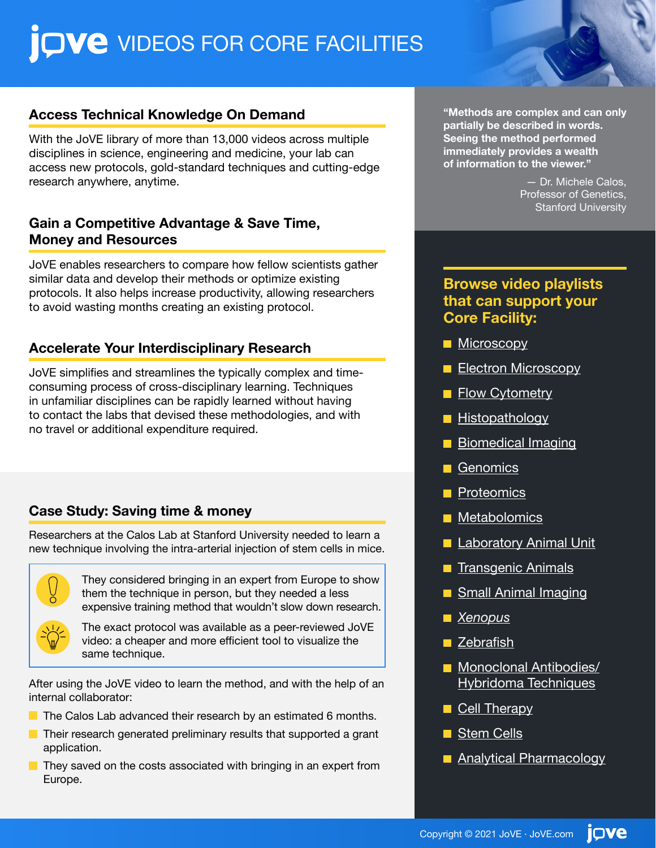## QVe VIDEOS FOR CORE FACILITIES

#### **Access Technical Knowledge On Demand**

With the JoVE library of more than 13,000 videos across multiple disciplines in science, engineering and medicine, your lab can access new protocols, gold-standard techniques and cutting-edge research anywhere, anytime.

#### **Gain a Competitive Advantage & Save Time, Money and Resources**

JoVE enables researchers to compare how fellow scientists gather similar data and develop their methods or optimize existing protocols. It also helps increase productivity, allowing researchers to avoid wasting months creating an existing protocol.

#### **Accelerate Your Interdisciplinary Research**

JoVE simplifies and streamlines the typically complex and timeconsuming process of cross-disciplinary learning. Techniques in unfamiliar disciplines can be rapidly learned without having to contact the labs that devised these methodologies, and with no travel or additional expenditure required.

### **Case Study: Saving time & money**

Researchers at the Calos Lab at Stanford University needed to learn a new technique involving the intra-arterial injection of stem cells in mice.



They considered bringing in an expert from Europe to show them the technique in person, but they needed a less expensive training method that wouldn't slow down research.

The exact protocol was available as a peer-reviewed JoVE video: a cheaper and more efficient tool to visualize the same technique.

After using the JoVE video to learn the method, and with the help of an internal collaborator:

- $\blacksquare$  The Calos Lab advanced their research by an estimated 6 months.
- $\blacksquare$  Their research generated preliminary results that supported a grant application.
- $\blacksquare$  They saved on the costs associated with bringing in an expert from Europe.

**"Methods are complex and can only partially be described in words. Seeing the method performed immediately provides a wealth of information to the viewer."** 

> — Dr. Michele Calos, Professor of Genetics, Stanford University

### **Browse video playlists that can support your Core Facility:**

- **[Microscopy](https://www.jove.com/playlist?plid=7y7iRY9m)**
- **[Electron Microscopy](https://www.jove.com/playlist?plid=7Nd7OSYL)**
- **[Flow Cytometry](https://www.jove.com/playlist?plid=HfL7A9e2)**
- **[Histopathology](https://www.jove.com/playlist?plid=83dzr3NY)**
- **[Biomedical Imaging](https://www.jove.com/playlist?plid=bB11e7l9)**
- **[Genomics](https://www.jove.com/playlist?plid=WWm8pG1h)**
- **[Proteomics](https://www.jove.com/playlist?plid=c3VuGSaj)**
- **[Metabolomics](https://www.jove.com/playlist?plid=MMpO3Yj4)**
- **[Laboratory Animal Unit](https://www.jove.com/playlist?plid=XZP228Mh)**
- **[Transgenic Animals](https://www.jove.com/playlist?plid=J3t59UQW)**
- **[Small Animal Imaging](https://www.jove.com/playlist?plid=R34cM4mb)**
- *[Xenopus](https://www.jove.com/playlist?plid=524qYIAm)*
- **[Zebrafish](https://www.jove.com/playlist?plid=H678H83Z)**
- **[Monoclonal Antibodies/](https://www.jove.com/playlist?plid=9hYxU36O)** [Hybridoma Techniques](https://www.jove.com/playlist?plid=9hYxU36O)
- [Cell Therapy](https://www.jove.com/playlist?plid=bk7CJihp)
- [Stem Cells](https://www.jove.com/playlist?plid=4C9Bn7Mv)
- **[Analytical Pharmacology](https://www.jove.com/playlist?plid=pKoy1pU2)**

jove